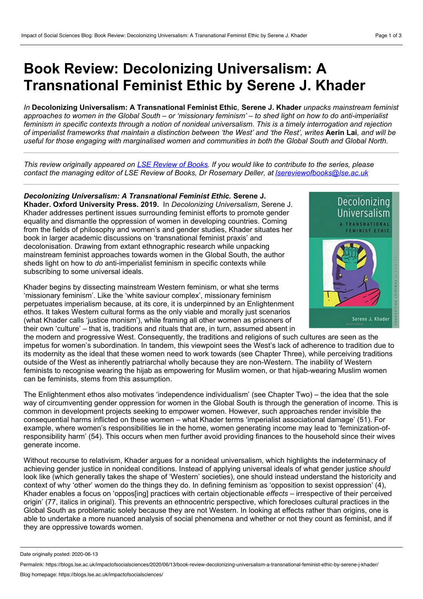## **Book Review: Decolonizing Universalism: A Transnational Feminist Ethic by Serene J. Khader**

*In* **Decolonizing Universalism: A Transnational Feminist Ethic***,* **Serene J. Khader** *unpacks mainstream feminist* approaches to women in the Global South – or 'missionary feminism' – to shed light on how to do anti-imperialist feminism in specific contexts through a notion of nonideal universalism. This is a timely interrogation and rejection of imperialist frameworks that maintain a distinction between 'the West' and 'the Rest', writes Aerin Lai, and will be useful for those engaging with marginalised women and communities in both the Global South and Global North.

This review originally appeared on LSE [Review](https://blogs.lse.ac.uk/lsereviewofbooks/) of Books. If you would like to contribute to the series, please *contact the managing editor of LSE Review of Books, Dr Rosemary Deller, at [lsereviewofbooks@lse.ac.uk](mailto:lsereviewofbooks@lse.ac.uk)*

*Decolonizing Universalism: A Transnational Feminist Ethic.* **Serene J. Khader. Oxford University Press. 2019.** In *Decolonizing Universalism*, Serene J. Khader addresses pertinent issues surrounding feminist efforts to promote gender equality and dismantle the oppression of women in developing countries. Coming from the fields of philosophy and women's and gender studies, Khader situates her book in larger academic discussions on 'transnational feminist praxis' and decolonisation. Drawing from extant ethnographic research while unpacking mainstream feminist approaches towards women in the Global South, the author sheds light on how to *do* anti-imperialist feminism in specific contexts while subscribing to some universal ideals.

Khader begins by dissecting mainstream Western feminism, or what she terms 'missionary feminism'. Like the 'white saviour complex', missionary feminism perpetuates imperialism because, at its core, it is underpinned by an Enlightenment ethos. It takes Western cultural forms as the only viable and morally just scenarios (what Khader calls 'justice monism'), while framing all other women as prisoners of their own 'culture' – that is, traditions and rituals that are, in turn, assumed absent in



the modern and progressive West. Consequently, the traditions and religions of such cultures are seen as the impetus for women's subordination. In tandem, this viewpoint sees the West's lack of adherence to tradition due to its modernity as the ideal that these women need to work towards (see Chapter Three), while perceiving traditions outside of the West as inherently patriarchal wholly because they are non-Western. The inability of Western feminists to recognise wearing the hijab as empowering for Muslim women, or that hijab-wearing Muslim women can be feminists, stems from this assumption.

The Enlightenment ethos also motivates 'independence individualism' (see Chapter Two) – the idea that the sole way of circumventing gender oppression for women in the Global South is through the generation of income. This is common in development projects seeking to empower women. However, such approaches render invisible the consequential harms inflicted on these women – what Khader terms 'imperialist associational damage' (51). For example, where women's responsibilities lie in the home, women generating income may lead to 'feminization-ofresponsibility harm' (54). This occurs when men further avoid providing finances to the household since their wives generate income.

Without recourse to relativism, Khader argues for a nonideal universalism, which highlights the indeterminacy of achieving gender justice in nonideal conditions. Instead of applying universal ideals of what gender justice *should* look like (which generally takes the shape of 'Western' societies), one should instead understand the historicity and context of why 'other' women do the things they do. In defining feminism as 'opposition to sexist oppression' (4), Khader enables a focus on 'oppos[ing] practices with certain objectionable *effects* – irrespective of their perceived origin' (77, italics in original). This prevents an ethnocentric perspective, which forecloses cultural practices in the Global South as problematic solely because they are not Western. In looking at effects rather than origins, one is able to undertake a more nuanced analysis of social phenomena and whether or not they count as feminist, and if they are oppressive towards women.

Date originally posted: 2020-06-13

Permalink: https://blogs.lse.ac.uk/impactofsocialsciences/2020/06/13/book-review-decolonizing-universalism-a-transnational-feminist-ethic-by-serene-j-khader/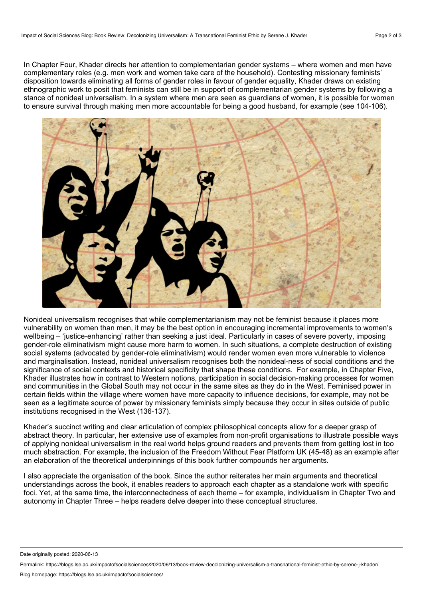In Chapter Four, Khader directs her attention to complementarian gender systems – where women and men have complementary roles (e.g. men work and women take care of the household). Contesting missionary feminists' disposition towards eliminating all forms of gender roles in favour of gender equality, Khader draws on existing ethnographic work to posit that feminists can still be in support of complementarian gender systems by following a stance of nonideal universalism. In a system where men are seen as guardians of women, it is possible for women to ensure survival through making men more accountable for being a good husband, for example (see 104-106).



Nonideal universalism recognises that while complementarianism may not be feminist because it places more vulnerability on women than men, it may be the best option in encouraging incremental improvements to women's wellbeing – 'justice-enhancing' rather than seeking a just ideal. Particularly in cases of severe poverty, imposing gender-role eliminativism might cause more harm to women. In such situations, a complete destruction of existing social systems (advocated by gender-role eliminativism) would render women even more vulnerable to violence and marginalisation. Instead, nonideal universalism recognises both the nonideal-ness of social conditions and the significance of social contexts and historical specificity that shape these conditions. For example, in Chapter Five, Khader illustrates how in contrast to Western notions, participation in social decision-making processes for women and communities in the Global South may not occur in the same sites as they do in the West. Feminised power in certain fields within the village where women have more capacity to influence decisions, for example, may not be seen as a legitimate source of power by missionary feminists simply because they occur in sites outside of public institutions recognised in the West (136-137).

Khader's succinct writing and clear articulation of complex philosophical concepts allow for a deeper grasp of abstract theory. In particular, her extensive use of examples from non-profit organisations to illustrate possible ways of applying nonideal universalism in the real world helps ground readers and prevents them from getting lost in too much abstraction. For example, the inclusion of the Freedom Without Fear Platform UK (45-48) as an example after an elaboration of the theoretical underpinnings of this book further compounds her arguments.

I also appreciate the organisation of the book. Since the author reiterates her main arguments and theoretical understandings across the book, it enables readers to approach each chapter as a standalone work with specific foci. Yet, at the same time, the interconnectedness of each theme – for example, individualism in Chapter Two and autonomy in Chapter Three – helps readers delve deeper into these conceptual structures.

Date originally posted: 2020-06-13

Permalink: https://blogs.lse.ac.uk/impactofsocialsciences/2020/06/13/book-review-decolonizing-universalism-a-transnational-feminist-ethic-by-serene-j-khader/